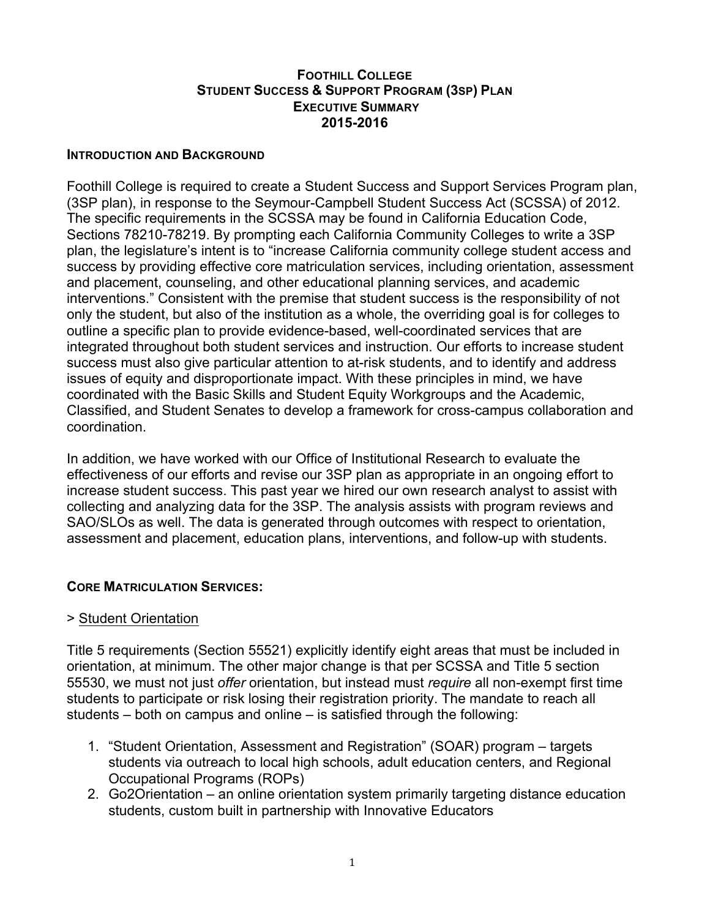### **FOOTHILL COLLEGE STUDENT SUCCESS & SUPPORT PROGRAM (3SP) PLAN EXECUTIVE SUMMARY 2015-2016**

### **INTRODUCTION AND BACKGROUND**

Foothill College is required to create a Student Success and Support Services Program plan, (3SP plan), in response to the Seymour-Campbell Student Success Act (SCSSA) of 2012. The specific requirements in the SCSSA may be found in California Education Code, Sections 78210-78219. By prompting each California Community Colleges to write a 3SP plan, the legislature's intent is to "increase California community college student access and success by providing effective core matriculation services, including orientation, assessment and placement, counseling, and other educational planning services, and academic interventions." Consistent with the premise that student success is the responsibility of not only the student, but also of the institution as a whole, the overriding goal is for colleges to outline a specific plan to provide evidence-based, well-coordinated services that are integrated throughout both student services and instruction. Our efforts to increase student success must also give particular attention to at-risk students, and to identify and address issues of equity and disproportionate impact. With these principles in mind, we have coordinated with the Basic Skills and Student Equity Workgroups and the Academic, Classified, and Student Senates to develop a framework for cross-campus collaboration and coordination.

In addition, we have worked with our Office of Institutional Research to evaluate the effectiveness of our efforts and revise our 3SP plan as appropriate in an ongoing effort to increase student success. This past year we hired our own research analyst to assist with collecting and analyzing data for the 3SP. The analysis assists with program reviews and SAO/SLOs as well. The data is generated through outcomes with respect to orientation, assessment and placement, education plans, interventions, and follow-up with students.

# **CORE MATRICULATION SERVICES:**

## > Student Orientation

Title 5 requirements (Section 55521) explicitly identify eight areas that must be included in orientation, at minimum. The other major change is that per SCSSA and Title 5 section 55530, we must not just *offer* orientation, but instead must *require* all non-exempt first time students to participate or risk losing their registration priority. The mandate to reach all students – both on campus and online – is satisfied through the following:

- 1. "Student Orientation, Assessment and Registration" (SOAR) program targets students via outreach to local high schools, adult education centers, and Regional Occupational Programs (ROPs)
- 2. Go2Orientation an online orientation system primarily targeting distance education students, custom built in partnership with Innovative Educators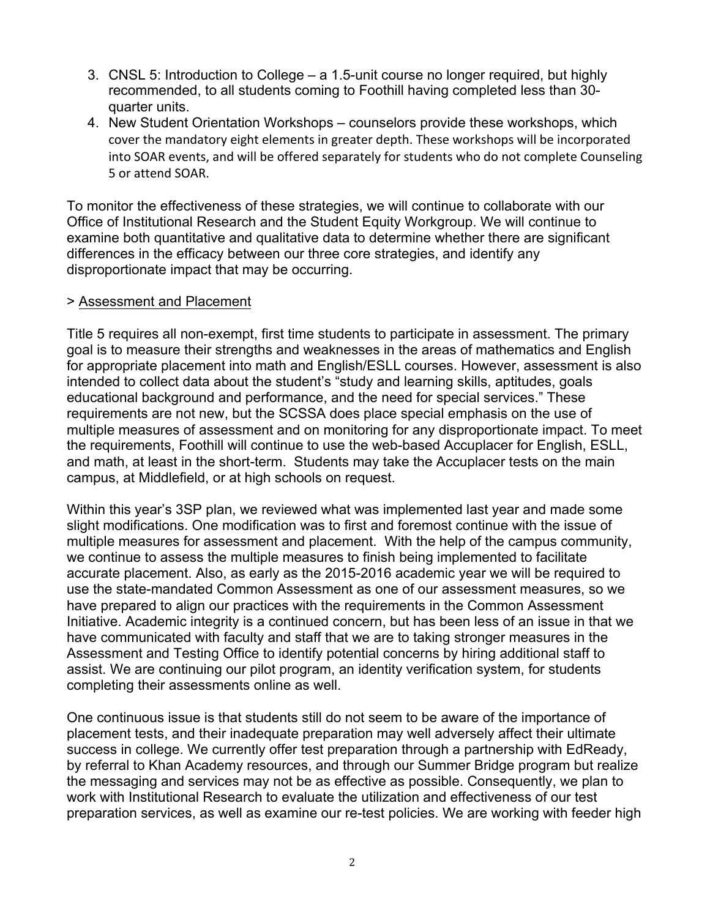- 3. CNSL 5: Introduction to College a 1.5-unit course no longer required, but highly recommended, to all students coming to Foothill having completed less than 30 quarter units.
- 4. New Student Orientation Workshops counselors provide these workshops, which cover the mandatory eight elements in greater depth. These workshops will be incorporated into SOAR events, and will be offered separately for students who do not complete Counseling 5 or attend SOAR.

To monitor the effectiveness of these strategies, we will continue to collaborate with our Office of Institutional Research and the Student Equity Workgroup. We will continue to examine both quantitative and qualitative data to determine whether there are significant differences in the efficacy between our three core strategies, and identify any disproportionate impact that may be occurring.

## > Assessment and Placement

Title 5 requires all non-exempt, first time students to participate in assessment. The primary goal is to measure their strengths and weaknesses in the areas of mathematics and English for appropriate placement into math and English/ESLL courses. However, assessment is also intended to collect data about the student's "study and learning skills, aptitudes, goals educational background and performance, and the need for special services." These requirements are not new, but the SCSSA does place special emphasis on the use of multiple measures of assessment and on monitoring for any disproportionate impact. To meet the requirements, Foothill will continue to use the web-based Accuplacer for English, ESLL, and math, at least in the short-term. Students may take the Accuplacer tests on the main campus, at Middlefield, or at high schools on request.

Within this year's 3SP plan, we reviewed what was implemented last year and made some slight modifications. One modification was to first and foremost continue with the issue of multiple measures for assessment and placement. With the help of the campus community, we continue to assess the multiple measures to finish being implemented to facilitate accurate placement. Also, as early as the 2015-2016 academic year we will be required to use the state-mandated Common Assessment as one of our assessment measures, so we have prepared to align our practices with the requirements in the Common Assessment Initiative. Academic integrity is a continued concern, but has been less of an issue in that we have communicated with faculty and staff that we are to taking stronger measures in the Assessment and Testing Office to identify potential concerns by hiring additional staff to assist. We are continuing our pilot program, an identity verification system, for students completing their assessments online as well.

One continuous issue is that students still do not seem to be aware of the importance of placement tests, and their inadequate preparation may well adversely affect their ultimate success in college. We currently offer test preparation through a partnership with EdReady, by referral to Khan Academy resources, and through our Summer Bridge program but realize the messaging and services may not be as effective as possible. Consequently, we plan to work with Institutional Research to evaluate the utilization and effectiveness of our test preparation services, as well as examine our re-test policies. We are working with feeder high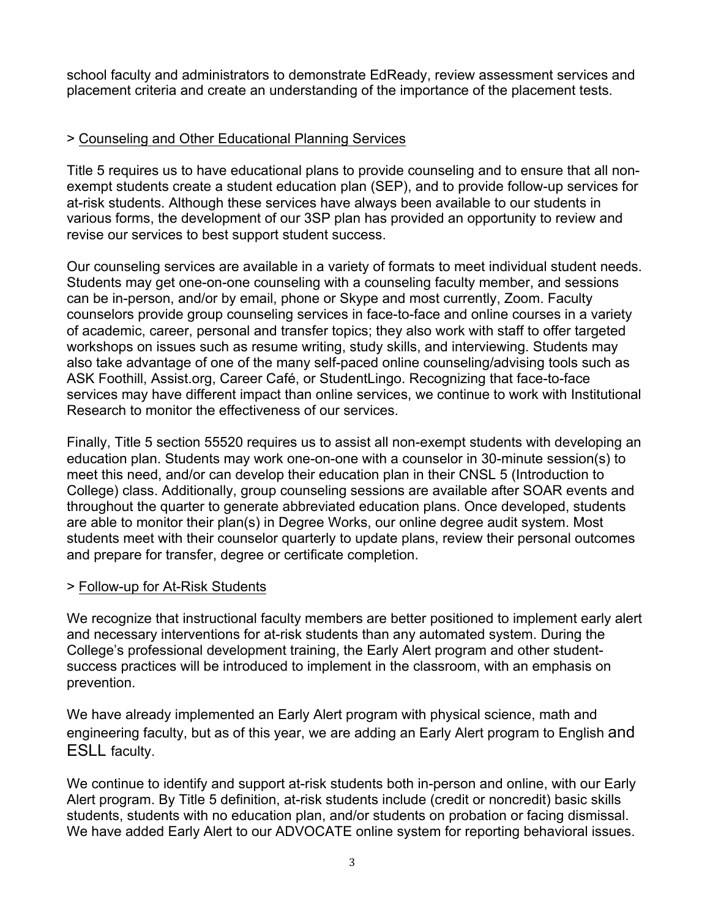school faculty and administrators to demonstrate EdReady, review assessment services and placement criteria and create an understanding of the importance of the placement tests.

# > Counseling and Other Educational Planning Services

Title 5 requires us to have educational plans to provide counseling and to ensure that all nonexempt students create a student education plan (SEP), and to provide follow-up services for at-risk students. Although these services have always been available to our students in various forms, the development of our 3SP plan has provided an opportunity to review and revise our services to best support student success.

Our counseling services are available in a variety of formats to meet individual student needs. Students may get one-on-one counseling with a counseling faculty member, and sessions can be in-person, and/or by email, phone or Skype and most currently, Zoom. Faculty counselors provide group counseling services in face-to-face and online courses in a variety of academic, career, personal and transfer topics; they also work with staff to offer targeted workshops on issues such as resume writing, study skills, and interviewing. Students may also take advantage of one of the many self-paced online counseling/advising tools such as ASK Foothill, Assist.org, Career Café, or StudentLingo. Recognizing that face-to-face services may have different impact than online services, we continue to work with Institutional Research to monitor the effectiveness of our services.

Finally, Title 5 section 55520 requires us to assist all non-exempt students with developing an education plan. Students may work one-on-one with a counselor in 30-minute session(s) to meet this need, and/or can develop their education plan in their CNSL 5 (Introduction to College) class. Additionally, group counseling sessions are available after SOAR events and throughout the quarter to generate abbreviated education plans. Once developed, students are able to monitor their plan(s) in Degree Works, our online degree audit system. Most students meet with their counselor quarterly to update plans, review their personal outcomes and prepare for transfer, degree or certificate completion.

## > Follow-up for At-Risk Students

We recognize that instructional faculty members are better positioned to implement early alert and necessary interventions for at-risk students than any automated system. During the College's professional development training, the Early Alert program and other studentsuccess practices will be introduced to implement in the classroom, with an emphasis on prevention.

We have already implemented an Early Alert program with physical science, math and engineering faculty, but as of this year, we are adding an Early Alert program to English and ESLL faculty.

We continue to identify and support at-risk students both in-person and online, with our Early Alert program. By Title 5 definition, at-risk students include (credit or noncredit) basic skills students, students with no education plan, and/or students on probation or facing dismissal. We have added Early Alert to our ADVOCATE online system for reporting behavioral issues.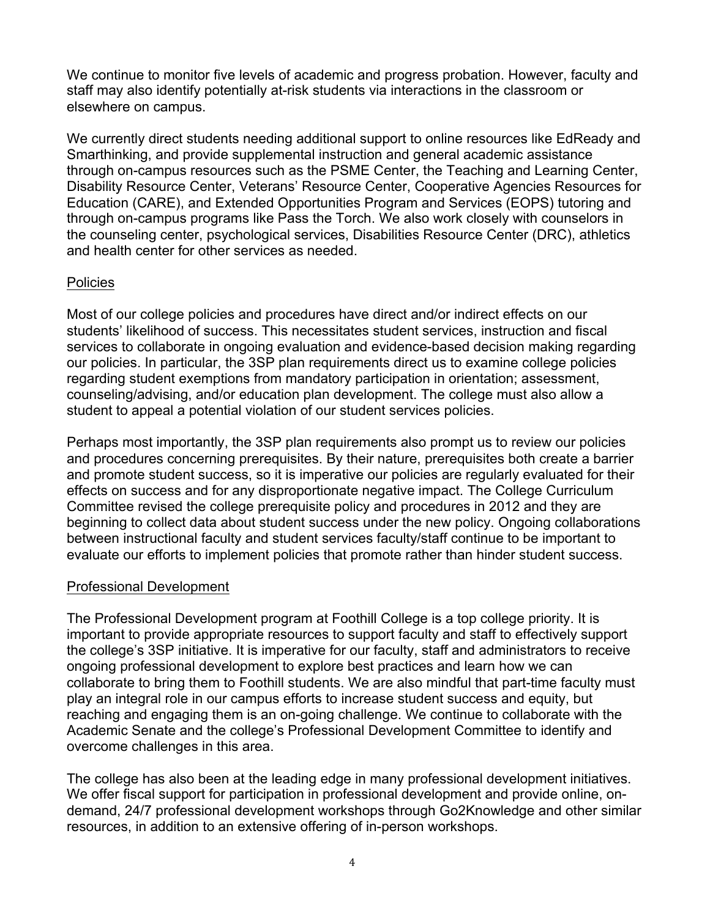We continue to monitor five levels of academic and progress probation. However, faculty and staff may also identify potentially at-risk students via interactions in the classroom or elsewhere on campus.

We currently direct students needing additional support to online resources like EdReady and Smarthinking, and provide supplemental instruction and general academic assistance through on-campus resources such as the PSME Center, the Teaching and Learning Center, Disability Resource Center, Veterans' Resource Center, Cooperative Agencies Resources for Education (CARE), and Extended Opportunities Program and Services (EOPS) tutoring and through on-campus programs like Pass the Torch. We also work closely with counselors in the counseling center, psychological services, Disabilities Resource Center (DRC), athletics and health center for other services as needed.

# Policies

Most of our college policies and procedures have direct and/or indirect effects on our students' likelihood of success. This necessitates student services, instruction and fiscal services to collaborate in ongoing evaluation and evidence-based decision making regarding our policies. In particular, the 3SP plan requirements direct us to examine college policies regarding student exemptions from mandatory participation in orientation; assessment, counseling/advising, and/or education plan development. The college must also allow a student to appeal a potential violation of our student services policies.

Perhaps most importantly, the 3SP plan requirements also prompt us to review our policies and procedures concerning prerequisites. By their nature, prerequisites both create a barrier and promote student success, so it is imperative our policies are regularly evaluated for their effects on success and for any disproportionate negative impact. The College Curriculum Committee revised the college prerequisite policy and procedures in 2012 and they are beginning to collect data about student success under the new policy. Ongoing collaborations between instructional faculty and student services faculty/staff continue to be important to evaluate our efforts to implement policies that promote rather than hinder student success.

# Professional Development

The Professional Development program at Foothill College is a top college priority. It is important to provide appropriate resources to support faculty and staff to effectively support the college's 3SP initiative. It is imperative for our faculty, staff and administrators to receive ongoing professional development to explore best practices and learn how we can collaborate to bring them to Foothill students. We are also mindful that part-time faculty must play an integral role in our campus efforts to increase student success and equity, but reaching and engaging them is an on-going challenge. We continue to collaborate with the Academic Senate and the college's Professional Development Committee to identify and overcome challenges in this area.

The college has also been at the leading edge in many professional development initiatives. We offer fiscal support for participation in professional development and provide online, ondemand, 24/7 professional development workshops through Go2Knowledge and other similar resources, in addition to an extensive offering of in-person workshops.